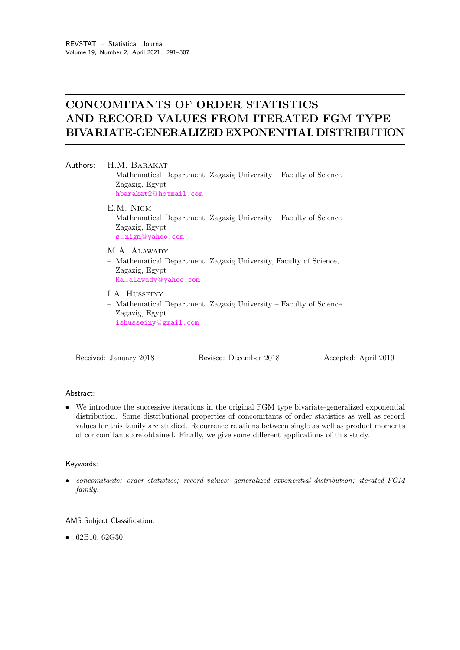# CONCOMITANTS OF ORDER STATISTICS AND RECORD VALUES FROM ITERATED FGM TYPE BIVARIATE-GENERALIZED EXPONENTIAL DISTRIBUTION

|  | Authors: H.M. BARAKAT<br>- Mathematical Department, Zagazig University - Faculty of Science,<br>Zagazig, Egypt<br>hbarakat2@hotmail.com |
|--|-----------------------------------------------------------------------------------------------------------------------------------------|
|  | E.M. NIGM<br>- Mathematical Department, Zagazig University - Faculty of Science,<br>Zagazig, Egypt<br>s_nigm@yahoo.com                  |
|  | M.A. ALAWADY<br>- Mathematical Department, Zagazig University, Faculty of Science,<br>Zagazig, Egypt<br>Ma_alawady@yahoo.com            |
|  | I.A. HUSSEINY<br>- Mathematical Department, Zagazig University - Faculty of Science,<br>Zagazig, Egypt<br>ishusseiny@gmail.com          |

Received: January 2018 Revised: December 2018 Accepted: April 2019

# Abstract:

• We introduce the successive iterations in the original FGM type bivariate-generalized exponential distribution. Some distributional properties of concomitants of order statistics as well as record values for this family are studied. Recurrence relations between single as well as product moments of concomitants are obtained. Finally, we give some different applications of this study.

## Keywords:

• concomitants; order statistics; record values; generalized exponential distribution; iterated FGM family.

# AMS Subject Classification:

• 62B10, 62G30.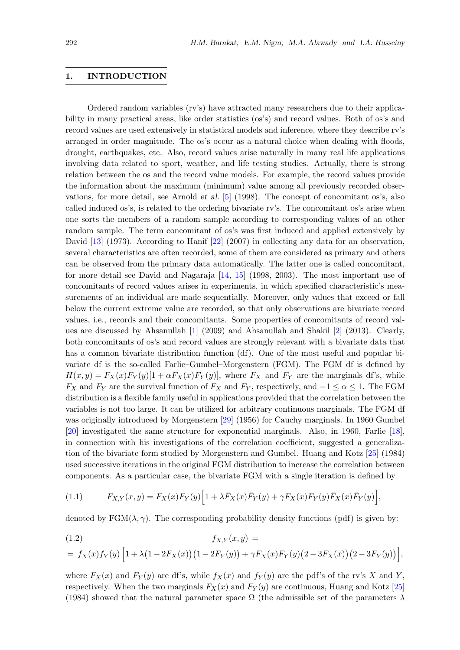# 1. INTRODUCTION

Ordered random variables (rv's) have attracted many researchers due to their applicability in many practical areas, like order statistics (os's) and record values. Both of os's and record values are used extensively in statistical models and inference, where they describe rv's arranged in order magnitude. The os's occur as a natural choice when dealing with floods, drought, earthquakes, etc. Also, record values arise naturally in many real life applications involving data related to sport, weather, and life testing studies. Actually, there is strong relation between the os and the record value models. For example, the record values provide the information about the maximum (minimum) value among all previously recorded observations, for more detail, see Arnold et al. [\[5\]](#page-14-0) (1998). The concept of concomitant os's, also called induced os's, is related to the ordering bivariate rv's. The concomitant os's arise when one sorts the members of a random sample according to corresponding values of an other random sample. The term concomitant of os's was first induced and applied extensively by David [\[13\]](#page-14-1) (1973). According to Hanif [\[22\]](#page-15-0) (2007) in collecting any data for an observation, several characteristics are often recorded, some of them are considered as primary and others can be observed from the primary data automatically. The latter one is called concomitant, for more detail see David and Nagaraja [\[14,](#page-14-2) [15\]](#page-14-3) (1998, 2003). The most important use of concomitants of record values arises in experiments, in which specified characteristic's measurements of an individual are made sequentially. Moreover, only values that exceed or fall below the current extreme value are recorded, so that only observations are bivariate record values, i.e., records and their concomitants. Some properties of concomitants of record values are discussed by Ahsanullah [\[1\]](#page-14-4) (2009) and Ahsanullah and Shakil [\[2\]](#page-14-5) (2013). Clearly, both concomitants of os's and record values are strongly relevant with a bivariate data that has a common bivariate distribution function (df). One of the most useful and popular bivariate df is the so-called Farlie–Gumbel–Morgenstern (FGM). The FGM df is defined by  $H(x, y) = F_X(x)F_Y(y)[1 + \alpha F_X(x)F_Y(y)],$  where  $F_X$  and  $F_Y$  are the marginals df's, while  $F_X$  and  $F_Y$  are the survival function of  $F_X$  and  $F_Y$ , respectively, and  $-1 \le \alpha \le 1$ . The FGM distribution is a flexible family useful in applications provided that the correlation between the variables is not too large. It can be utilized for arbitrary continuous marginals. The FGM df was originally introduced by Morgenstern [\[29\]](#page-15-1) (1956) for Cauchy marginals. In 1960 Gumbel [\[20\]](#page-15-2) investigated the same structure for exponential marginals. Also, in 1960, Farlie [\[18\]](#page-15-3), in connection with his investigations of the correlation coefficient, suggested a generalization of the bivariate form studied by Morgenstern and Gumbel. Huang and Kotz [\[25\]](#page-15-4) (1984) used successive iterations in the original FGM distribution to increase the correlation between components. As a particular case, the bivariate FGM with a single iteration is defined by

<span id="page-1-0"></span>(1.1) 
$$
F_{X,Y}(x,y) = F_X(x)F_Y(y)\Big[1 + \lambda \bar{F}_X(x)\bar{F}_Y(y) + \gamma F_X(x)F_Y(y)\bar{F}_X(x)\bar{F}_Y(y)\Big],
$$

denoted by FGM( $\lambda$ ,  $\gamma$ ). The corresponding probability density functions (pdf) is given by:

<span id="page-1-1"></span>(1.2) 
$$
f_{X,Y}(x,y) =
$$

$$
= f_X(x) f_Y(y) \left[ 1 + \lambda \left( 1 - 2F_X(x) \right) \left( 1 - 2F_Y(y) \right) + \gamma F_X(x) F_Y(y) \left( 2 - 3F_X(x) \right) \left( 2 - 3F_Y(y) \right) \right],
$$

where  $F_X(x)$  and  $F_Y(y)$  are df's, while  $f_X(x)$  and  $f_Y(y)$  are the pdf's of the rv's X and Y, respectively. When the two marginals  $F_X(x)$  and  $F_Y(y)$  are continuous, Huang and Kotz [\[25\]](#page-15-4) (1984) showed that the natural parameter space  $\Omega$  (the admissible set of the parameters  $\lambda$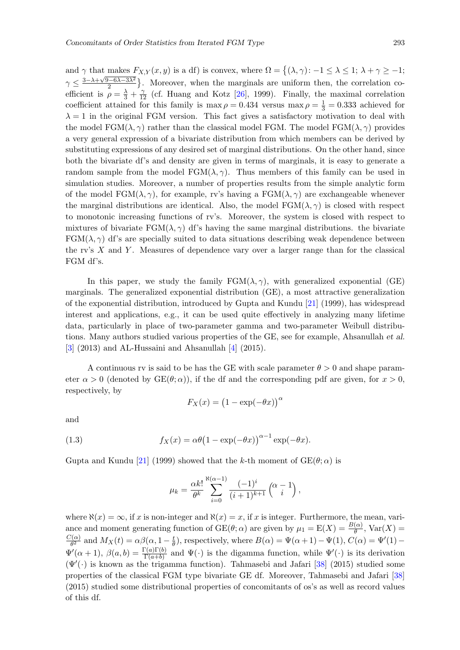and  $\gamma$  that makes  $F_{X,Y}(x, y)$  is a df) is convex, where  $\Omega = \{(\lambda, \gamma): -1 \leq \lambda \leq 1; \lambda + \gamma \geq -1;$  $\gamma \leq \frac{3-\lambda+\sqrt{9-6\lambda-3\lambda^2}}{2}$  $\left(\frac{2-6\lambda-3\lambda^2}{2}\right)$ . Moreover, when the marginals are uniform then, the correlation coefficient is  $\rho = \frac{\lambda}{3} + \frac{\gamma}{12}$  (cf. Huang and Kotz [\[26\]](#page-15-5), 1999). Finally, the maximal correlation coefficient attained for this family is  $\max \rho = 0.434$  versus  $\max \rho = \frac{1}{3} = 0.333$  achieved for  $\lambda = 1$  in the original FGM version. This fact gives a satisfactory motivation to deal with the model  $FGM(\lambda, \gamma)$  rather than the classical model FGM. The model  $FGM(\lambda, \gamma)$  provides a very general expression of a bivariate distribution from which members can be derived by substituting expressions of any desired set of marginal distributions. On the other hand, since both the bivariate df's and density are given in terms of marginals, it is easy to generate a random sample from the model  $FGM(\lambda, \gamma)$ . Thus members of this family can be used in simulation studies. Moreover, a number of properties results from the simple analytic form of the model FGM( $\lambda$ ,  $\gamma$ ), for example, rv's having a FGM( $\lambda$ ,  $\gamma$ ) are exchangeable whenever the marginal distributions are identical. Also, the model  $FGM(\lambda, \gamma)$  is closed with respect to monotonic increasing functions of rv's. Moreover, the system is closed with respect to mixtures of bivariate FGM( $\lambda$ ,  $\gamma$ ) df's having the same marginal distributions. the bivariate  $FGM(\lambda, \gamma)$  df's are specially suited to data situations describing weak dependence between the rv's  $X$  and  $Y$ . Measures of dependence vary over a larger range than for the classical FGM df's.

In this paper, we study the family  $FGM(\lambda, \gamma)$ , with generalized exponential (GE) marginals. The generalized exponential distribution (GE), a most attractive generalization of the exponential distribution, introduced by Gupta and Kundu [\[21\]](#page-15-6) (1999), has widespread interest and applications, e.g., it can be used quite effectively in analyzing many lifetime data, particularly in place of two-parameter gamma and two-parameter Weibull distributions. Many authors studied various properties of the GE, see for example, Ahsanullah et al.  $\left[3\right]$  (2013) and AL-Hussaini and Ahsanullah  $\left[4\right]$  (2015).

A continuous rv is said to be has the GE with scale parameter  $\theta > 0$  and shape parameter  $\alpha > 0$  (denoted by  $GE(\theta; \alpha)$ ), if the df and the corresponding pdf are given, for  $x > 0$ , respectively, by

$$
F_X(x) = (1 - \exp(-\theta x))^{\alpha}
$$

<span id="page-2-0"></span>and

(1.3) 
$$
f_X(x) = \alpha \theta \left(1 - \exp(-\theta x)\right)^{\alpha - 1} \exp(-\theta x).
$$

Gupta and Kundu [\[21\]](#page-15-6) (1999) showed that the k-th moment of  $GE(\theta; \alpha)$  is

$$
\mu_k = \frac{\alpha k!}{\theta^k} \sum_{i=0}^{\aleph(\alpha-1)} \frac{(-1)^i}{(i+1)^{k+1}} \begin{pmatrix} \alpha - 1 \\ i \end{pmatrix},
$$

where  $\aleph(x) = \infty$ , if x is non-integer and  $\aleph(x) = x$ , if x is integer. Furthermore, the mean, variance and moment generating function of  $GE(\theta; \alpha)$  are given by  $\mu_1 = E(X) = \frac{B(\alpha)}{\theta}$ ,  $Var(X) =$  $C(\alpha)$  $\frac{d^2(\alpha)}{\theta^2}$  and  $M_X(t) = \alpha \beta(\alpha, 1 - \frac{t}{\theta})$  $\frac{t}{\theta}$ ), respectively, where  $B(\alpha) = \Psi(\alpha + 1) - \Psi(1)$ ,  $C(\alpha) = \Psi'(1) - \Psi(1)$  $\Psi'(\alpha+1), \beta(a,b) = \frac{\Gamma(a)\Gamma(b)}{\Gamma(a+b)}$  and  $\Psi(\cdot)$  is the digamma function, while  $\Psi'(\cdot)$  is its derivation  $(\Psi'(\cdot))$  is known as the trigamma function). Tahmasebi and Jafari [\[38\]](#page-16-0) (2015) studied some properties of the classical FGM type bivariate GE df. Moreover, Tahmasebi and Jafari [\[38\]](#page-16-0) (2015) studied some distributional properties of concomitants of os's as well as record values of this df.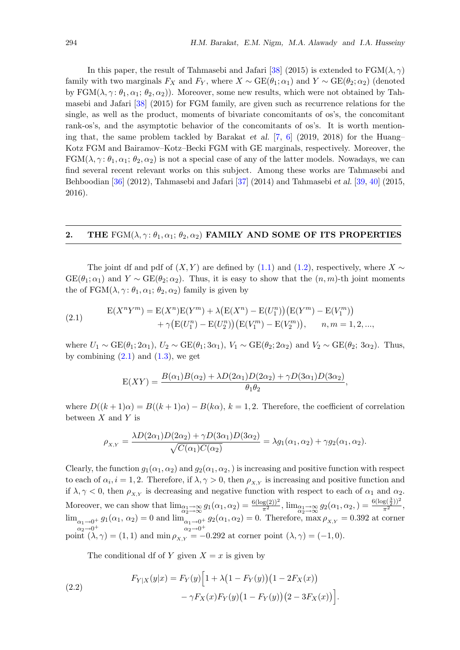In this paper, the result of Tahmasebi and Jafari [\[38\]](#page-16-0) (2015) is extended to  $\text{FGM}(\lambda, \gamma)$ family with two marginals  $F_X$  and  $F_Y$ , where  $X \sim \text{GE}(\theta_1; \alpha_1)$  and  $Y \sim \text{GE}(\theta_2; \alpha_2)$  (denoted by FGM( $\lambda, \gamma : \theta_1, \alpha_1; \theta_2, \alpha_2$ )). Moreover, some new results, which were not obtained by Tahmasebi and Jafari [\[38\]](#page-16-0) (2015) for FGM family, are given such as recurrence relations for the single, as well as the product, moments of bivariate concomitants of os's, the concomitant rank-os's, and the asymptotic behavior of the concomitants of os's. It is worth mentioning that, the same problem tackled by Barakat et al.  $[7, 6]$  $[7, 6]$  $[7, 6]$  (2019, 2018) for the Huang– Kotz FGM and Bairamov–Kotz–Becki FGM with GE marginals, respectively. Moreover, the  $FGM(\lambda, \gamma : \theta_1, \alpha_1; \theta_2, \alpha_2)$  is not a special case of any of the latter models. Nowadays, we can find several recent relevant works on this subject. Among these works are Tahmasebi and Behboodian [\[36\]](#page-15-7) (2012), Tahmasebi and Jafari [\[37\]](#page-15-8) (2014) and Tahmasebi et al. [\[39,](#page-16-1) [40\]](#page-16-2) (2015, 2016).

### <span id="page-3-2"></span>2. THE FGM( $\lambda$ ,  $\gamma$ :  $\theta_1$ ,  $\alpha_1$ ;  $\theta_2$ ,  $\alpha_2$ ) FAMILY AND SOME OF ITS PROPERTIES

The joint df and pdf of  $(X, Y)$  are defined by [\(1.1\)](#page-1-0) and [\(1.2\)](#page-1-1), respectively, where  $X \sim$  $GE(\theta_1;\alpha_1)$  and  $Y \sim GE(\theta_2;\alpha_2)$ . Thus, it is easy to show that the  $(n,m)$ -th joint moments the of  $FGM(\lambda, \gamma: \theta_1, \alpha_1; \theta_2, \alpha_2)$  family is given by

(2.1) 
$$
E(X^n Y^m) = E(X^n)E(Y^m) + \lambda (E(X^n) - E(U_1^n)) (E(Y^m) - E(V_1^m)) + \gamma (E(U_1^n) - E(U_2^n)) (E(V_1^m) - E(V_2^m)), \quad n, m = 1, 2, ...,
$$

where  $U_1 \sim \text{GE}(\theta_1; 2\alpha_1), U_2 \sim \text{GE}(\theta_1; 3\alpha_1), V_1 \sim \text{GE}(\theta_2; 2\alpha_2)$  and  $V_2 \sim \text{GE}(\theta_2; 3\alpha_2)$ . Thus, by combining  $(2.1)$  and  $(1.3)$ , we get

<span id="page-3-0"></span>
$$
E(XY) = \frac{B(\alpha_1)B(\alpha_2) + \lambda D(2\alpha_1)D(2\alpha_2) + \gamma D(3\alpha_1)D(3\alpha_2)}{\theta_1 \theta_2},
$$

where  $D((k+1)\alpha) = B((k+1)\alpha) - B(k\alpha)$ ,  $k = 1, 2$ . Therefore, the coefficient of correlation between  $X$  and  $Y$  is

$$
\rho_{X,Y} = \frac{\lambda D(2\alpha_1)D(2\alpha_2) + \gamma D(3\alpha_1)D(3\alpha_2)}{\sqrt{C(\alpha_1)C(\alpha_2)}} = \lambda g_1(\alpha_1, \alpha_2) + \gamma g_2(\alpha_1, \alpha_2).
$$

Clearly, the function  $g_1(\alpha_1, \alpha_2)$  and  $g_2(\alpha_1, \alpha_2)$  is increasing and positive function with respect to each of  $\alpha_i$ ,  $i = 1, 2$ . Therefore, if  $\lambda, \gamma > 0$ , then  $\rho_{X,Y}$  is increasing and positive function and if  $\lambda, \gamma < 0$ , then  $\rho_{X,Y}$  is decreasing and negative function with respect to each of  $\alpha_1$  and  $\alpha_2$ . Moreover, we can show that  $\lim_{\substack{\alpha_1 \to \infty \\ \alpha_2 \to \infty}} g_1(\alpha_1, \alpha_2) = \frac{6(\log(2))^2}{\pi^2}$ ,  $\lim_{\substack{\alpha_1 \to \infty \\ \alpha_2 \to \infty}} g_2(\alpha_1, \alpha_2) = \frac{6(\log(\frac{3}{2}))^2}{\pi^2}$ ,  $\lim_{\alpha_1 \to 0^+} g_1(\alpha_1, \alpha_2) = 0$  and  $\lim_{\alpha_1 \to 0^+} g_2(\alpha_1, \alpha_2) = 0$ . Therefore, max  $\rho_{X,Y} = 0.392$  at corner  $\alpha_2 \rightarrow 0^+$   $\alpha_2 \rightarrow 0^+$ point  $(\lambda, \gamma) = (1, 1)$  and  $\min \rho_{X,Y} = -0.292$  at corner point  $(\lambda, \gamma) = (-1, 0)$ .

<span id="page-3-1"></span>The conditional df of Y given  $X = x$  is given by

(2.2) 
$$
F_{Y|X}(y|x) = F_Y(y) \Big[ 1 + \lambda \big( 1 - F_Y(y) \big) \big( 1 - 2F_X(x) \big) - \gamma F_X(x) F_Y(y) \big( 1 - F_Y(y) \big) \big( 2 - 3F_X(x) \big) \Big].
$$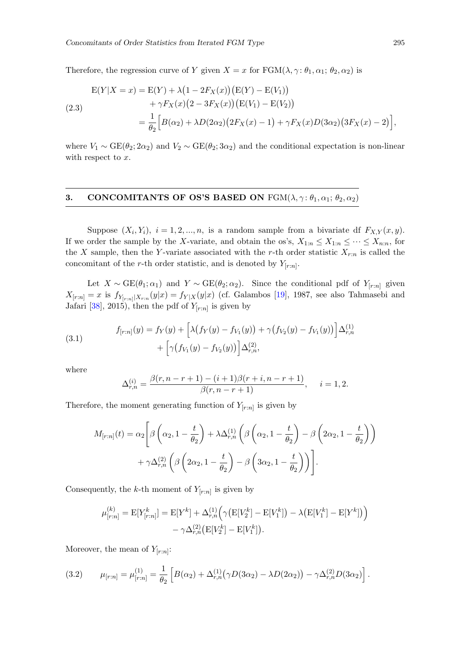<span id="page-4-3"></span>Therefore, the regression curve of Y given  $X = x$  for  $FGM(\lambda, \gamma : \theta_1, \alpha_1; \theta_2, \alpha_2)$  is

$$
E(Y|X = x) = E(Y) + \lambda (1 - 2F_X(x)) (E(Y) - E(V_1))
$$
  
+  $\gamma F_X(x) (2 - 3F_X(x)) (E(V_1) - E(V_2))$   
=  $\frac{1}{\theta_2} [B(\alpha_2) + \lambda D(2\alpha_2) (2F_X(x) - 1) + \gamma F_X(x) D(3\alpha_2) (3F_X(x) - 2)],$ 

where  $V_1 \sim \text{GE}(\theta_2; 2\alpha_2)$  and  $V_2 \sim \text{GE}(\theta_2; 3\alpha_2)$  and the conditional expectation is non-linear with respect to  $x$ .

# 3. CONCOMITANTS OF OS'S BASED ON  $FGM(\lambda, \gamma: \theta_1, \alpha_1; \theta_2, \alpha_2)$

Suppose  $(X_i, Y_i)$ ,  $i = 1, 2, ..., n$ , is a random sample from a bivariate df  $F_{X,Y}(x, y)$ . If we order the sample by the X-variate, and obtain the os's,  $X_{1:n} \leq X_{1:n} \leq \cdots \leq X_{n:n}$ , for the X sample, then the Y-variate associated with the r-th order statistic  $X_{r:n}$  is called the concomitant of the r-th order statistic, and is denoted by  $Y_{[r:n]}$ .

Let  $X \sim \text{GE}(\theta_1; \alpha_1)$  and  $Y \sim \text{GE}(\theta_2; \alpha_2)$ . Since the conditional pdf of  $Y_{[r:n]}$  given  $X_{[r:n]} = x$  is  $f_{Y_{[r:n]}|X_{r:n}}(y|x) = f_{Y|X}(y|x)$  (cf. Galambos [\[19\]](#page-15-9), 1987, see also Tahmasebi and Jafari [\[38\]](#page-16-0), 2015), then the pdf of  $Y_{[r:n]}$  is given by

(3.1) 
$$
f_{[r:n]}(y) = f_Y(y) + \left[ \lambda \big(f_Y(y) - f_{V_1}(y)\big) + \gamma \big(f_{V_2}(y) - f_{V_1}(y)\big)\right] \Delta_{r,n}^{(1)} + \left[ \gamma \big(f_{V_1}(y) - f_{V_2}(y)\big)\right] \Delta_{r,n}^{(2)},
$$

where

<span id="page-4-2"></span>
$$
\Delta_{r,n}^{(i)} = \frac{\beta(r,n-r+1) - (i+1)\beta(r+i,n-r+1)}{\beta(r,n-r+1)}, \quad i = 1, 2.
$$

Therefore, the moment generating function of  $Y_{[r:n]}$  is given by

$$
M_{[r:n]}(t) = \alpha_2 \left[ \beta \left( \alpha_2, 1 - \frac{t}{\theta_2} \right) + \lambda \Delta_{r,n}^{(1)} \left( \beta \left( \alpha_2, 1 - \frac{t}{\theta_2} \right) - \beta \left( 2\alpha_2, 1 - \frac{t}{\theta_2} \right) \right) + \gamma \Delta_{r,n}^{(2)} \left( \beta \left( 2\alpha_2, 1 - \frac{t}{\theta_2} \right) - \beta \left( 3\alpha_2, 1 - \frac{t}{\theta_2} \right) \right) \right].
$$

Consequently, the k-th moment of  $Y_{[r:n]}$  is given by

<span id="page-4-0"></span>
$$
\mu_{[r:n]}^{(k)} = \mathbb{E}[Y_{[r:n]}^k] = \mathbb{E}[Y^k] + \Delta_{r,n}^{(1)} (\gamma (\mathbb{E}[V_2^k] - \mathbb{E}[V_1^k]) - \lambda (\mathbb{E}[V_1^k] - \mathbb{E}[Y^k])) - \gamma \Delta_{r,n}^{(2)} (\mathbb{E}[V_2^k] - \mathbb{E}[V_1^k]).
$$

Moreover, the mean of  $Y_{[r:n]}$ :

<span id="page-4-1"></span>(3.2) 
$$
\mu_{[r:n]} = \mu_{[r:n]}^{(1)} = \frac{1}{\theta_2} \left[ B(\alpha_2) + \Delta_{r,n}^{(1)} (\gamma D(3\alpha_2) - \lambda D(2\alpha_2)) - \gamma \Delta_{r,n}^{(2)} D(3\alpha_2) \right].
$$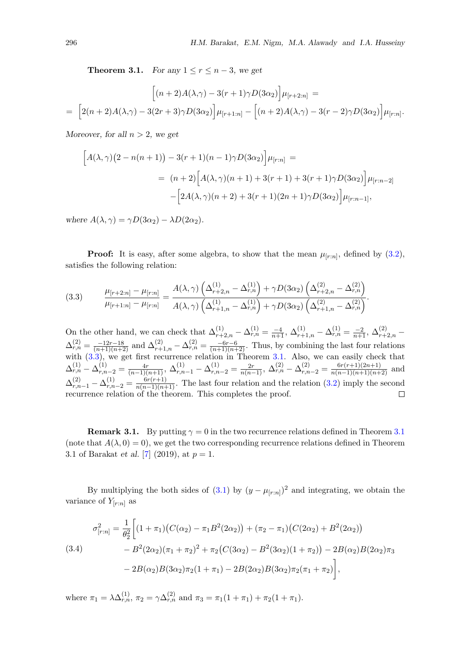**Theorem 3.1.** For any  $1 \le r \le n-3$ , we get

$$
\left[ (n+2)A(\lambda,\gamma) - 3(r+1)\gamma D(3\alpha_2) \right] \mu_{[r+2:n]} =
$$
\n
$$
= \left[ 2(n+2)A(\lambda,\gamma) - 3(2r+3)\gamma D(3\alpha_2) \right] \mu_{[r+1:n]} - \left[ (n+2)A(\lambda,\gamma) - 3(r-2)\gamma D(3\alpha_2) \right] \mu_{[r:n]}.
$$

Moreover, for all  $n > 2$ , we get

$$
\[A(\lambda,\gamma)(2 - n(n+1)) - 3(r+1)(n-1)\gamma D(3\alpha_2)\] \mu_{[r:n]} =
$$
  
=  $(n+2)\Big[A(\lambda,\gamma)(n+1) + 3(r+1) + 3(r+1)\gamma D(3\alpha_2)\Big] \mu_{[r:n-2]} - \Big[2A(\lambda,\gamma)(n+2) + 3(r+1)(2n+1)\gamma D(3\alpha_2)\Big] \mu_{[r:n-1]},$ 

where  $A(\lambda, \gamma) = \gamma D(3\alpha_2) - \lambda D(2\alpha_2)$ .

<span id="page-5-0"></span>**Proof:** It is easy, after some algebra, to show that the mean  $\mu_{[r:n]}$ , defined by  $(3.2)$ , satisfies the following relation:

$$
(3.3) \qquad \frac{\mu_{[r+2:n]} - \mu_{[r:n]}}{\mu_{[r+1:n]} - \mu_{[r:n]}} = \frac{A(\lambda, \gamma) \left(\Delta_{r+2,n}^{(1)} - \Delta_{r,n}^{(1)}\right) + \gamma D(3\alpha_2) \left(\Delta_{r+2,n}^{(2)} - \Delta_{r,n}^{(2)}\right)}{A(\lambda, \gamma) \left(\Delta_{r+1,n}^{(1)} - \Delta_{r,n}^{(1)}\right) + \gamma D(3\alpha_2) \left(\Delta_{r+1,n}^{(2)} - \Delta_{r,n}^{(2)}\right)}.
$$

On the other hand, we can check that  $\Delta_{r+2,n}^{(1)} - \Delta_{r,n}^{(1)} = \frac{-4}{n+1}$ ,  $\Delta_{r+1,n}^{(1)} - \Delta_{r,n}^{(1)} = \frac{-2}{n+1}$ ,  $\Delta_{r+2,n}^{(2)} - \Delta_{r+1,n}^{(2)} = \frac{-2}{n+1}$  $\Delta_{r,n}^{(2)} = \frac{-12r-18}{(n+1)(n+2)}$  and  $\Delta_{r+1,n}^{(2)} - \Delta_{r,n}^{(2)} = \frac{-6r-6}{(n+1)(n+2)}$ . Thus, by combining the last four relations with  $(3.3)$ , we get first recurrence relation in Theorem [3.1.](#page-4-1) Also, we can easily check that  $\Delta_{r,n}^{(1)} - \Delta_{r,n-2}^{(1)} = \frac{4r}{(n-1)(n+1)}, \ \Delta_{r,n-1}^{(1)} - \Delta_{r,n-2}^{(1)} = \frac{2r}{n(n-1)}, \ \Delta_{r,n}^{(2)} - \Delta_{r,n-2}^{(2)} = \frac{6r(r+1)(2n+1)}{n(n-1)(n+1)(n+2)}$  and  $\Delta_{r,n-1}^{(2)} - \Delta_{r,n-2}^{(1)} = \frac{6r(r+1)}{n(n-1)(n+1)}$ . The last four relation and the relation [\(3.2\)](#page-4-0) imply the second recurrence relation of the theorem. This completes the proof.

**Remark [3.1](#page-4-1).** By putting  $\gamma = 0$  in the two recurrence relations defined in Theorem 3.1 (note that  $A(\lambda, 0) = 0$ ), we get the two corresponding recurrence relations defined in Theorem 3.1 of Barakat *et al.* [\[7\]](#page-14-8) (2019), at  $p = 1$ .

<span id="page-5-1"></span>By multiplying the both sides of [\(3.1\)](#page-4-2) by  $(y - \mu_{[r:n]})^2$  and integrating, we obtain the variance of  $Y_{[r:n]}$  as

$$
\sigma_{[r:n]}^2 = \frac{1}{\theta_2^2} \Big[ (1 + \pi_1) \big( C(\alpha_2) - \pi_1 B^2(2\alpha_2) \big) + (\pi_2 - \pi_1) \big( C(2\alpha_2) + B^2(2\alpha_2) \big) \n- B^2(2\alpha_2)(\pi_1 + \pi_2)^2 + \pi_2 \big( C(3\alpha_2) - B^2(3\alpha_2)(1 + \pi_2) \big) - 2B(\alpha_2)B(2\alpha_2)\pi_3 \n- 2B(\alpha_2)B(3\alpha_2)\pi_2(1 + \pi_1) - 2B(2\alpha_2)B(3\alpha_2)\pi_2(\pi_1 + \pi_2) \Big],
$$

where  $\pi_1 = \lambda \Delta_{r,n}^{(1)}$ ,  $\pi_2 = \gamma \Delta_{r,n}^{(2)}$  and  $\pi_3 = \pi_1(1 + \pi_1) + \pi_2(1 + \pi_1)$ .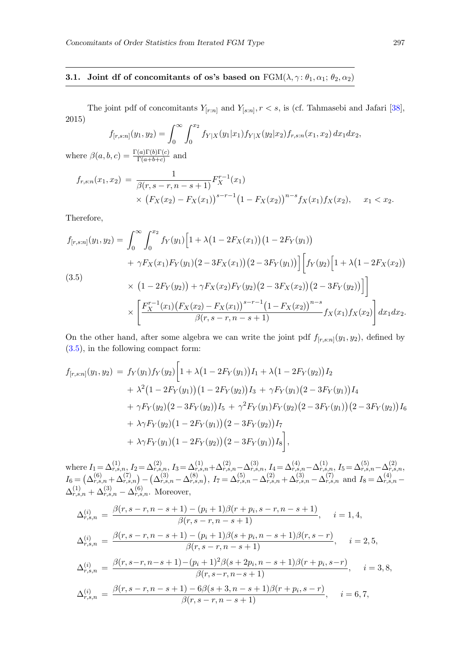# 3.1. Joint df of concomitants of os's based on  $FGM(\lambda, \gamma: \theta_1, \alpha_1; \theta_2, \alpha_2)$

The joint pdf of concomitants  $Y_{[r:n]}$  and  $Y_{[s:n]}$ ,  $r < s$ , is (cf. Tahmasebi and Jafari [\[38\]](#page-16-0), 2015)

$$
f_{[r,s:n]}(y_1, y_2) = \int_0^\infty \int_0^{x_2} f_{Y|X}(y_1|x_1) f_{Y|X}(y_2|x_2) f_{r,s:n}(x_1, x_2) dx_1 dx_2,
$$

where  $\beta(a, b, c) = \frac{\Gamma(a)\Gamma(b)\Gamma(c)}{\Gamma(a+b+c)}$  and

$$
f_{r,s:n}(x_1, x_2) = \frac{1}{\beta(r, s-r, n-s+1)} F_X^{r-1}(x_1)
$$
  
 
$$
\times (F_X(x_2) - F_X(x_1))^{s-r-1} (1 - F_X(x_2))^{n-s} f_X(x_1) f_X(x_2), \quad x_1 < x_2.
$$

<span id="page-6-0"></span>Therefore,

$$
f_{[r,s:n]}(y_1, y_2) = \int_0^\infty \int_0^{x_2} f_Y(y_1) \Big[ 1 + \lambda \big( 1 - 2F_X(x_1) \big) \big( 1 - 2F_Y(y_1) \big) + \gamma F_X(x_1) F_Y(y_1) \big( 2 - 3F_X(x_1) \big) \big( 2 - 3F_Y(y_1) \big) \Big] \Big[ f_Y(y_2) \Big[ 1 + \lambda \big( 1 - 2F_X(x_2) \big) \times \big( 1 - 2F_Y(y_2) \big) + \gamma F_X(x_2) F_Y(y_2) \big( 2 - 3F_X(x_2) \big) \big( 2 - 3F_Y(y_2) \big) \Big] \Big] \times \left[ \frac{F_X^{r-1}(x_1) \big( F_X(x_2) - F_X(x_1) \big)^{s-r-1} \big( 1 - F_X(x_2) \big)^{n-s}}{\beta(r, s-r, n-s+1)} f_X(x_1) f_X(x_2) \right] dx_1 dx_2.
$$

On the other hand, after some algebra we can write the joint pdf  $f_{[r,s:n]}(y_1, y_2)$ , defined by [\(3.5\)](#page-6-0), in the following compact form:

$$
f_{[r,s:n]}(y_1, y_2) = f_Y(y_1) f_Y(y_2) \Big[ 1 + \lambda \big( 1 - 2F_Y(y_1) \big) I_1 + \lambda \big( 1 - 2F_Y(y_2) \big) I_2
$$
  
+  $\lambda^2 \big( 1 - 2F_Y(y_1) \big) \big( 1 - 2F_Y(y_2) \big) I_3 + \gamma F_Y(y_1) \big( 2 - 3F_Y(y_1) \big) I_4$   
+  $\gamma F_Y(y_2) \big( 2 - 3F_Y(y_2) \big) I_5 + \gamma^2 F_Y(y_1) F_Y(y_2) \big( 2 - 3F_Y(y_1) \big) \big( 2 - 3F_Y(y_2) \big) I_6$   
+  $\lambda \gamma F_Y(y_2) \big( 1 - 2F_Y(y_1) \big) \big( 2 - 3F_Y(y_2) \big) I_7$   
+  $\lambda \gamma F_Y(y_1) \big( 1 - 2F_Y(y_2) \big) \big( 2 - 3F_Y(y_1) \big) I_8 \Big],$ 

where  $I_1 = \Delta_{r,s,n}^{(1)}$ ,  $I_2 = \Delta_{r,s,n}^{(2)}$ ,  $I_3 = \Delta_{r,s,n}^{(1)} + \Delta_{r,s,n}^{(2)} - \Delta_{r,s,n}^{(3)}$ ,  $I_4 = \Delta_{r,s,n}^{(4)} - \Delta_{r,s,n}^{(1)}$ ,  $I_5 = \Delta_{r,s,n}^{(5)} - \Delta_{r,s,n}^{(2)}$  $I_6 = \left(\Delta_{r,s,n}^{(6)} + \Delta_{r,s,n}^{(7)}\right) - \left(\Delta_{r,s,n}^{(3)} - \Delta_{r,s,n}^{(8)}\right), I_7 = \Delta_{r,s,n}^{(5)} - \Delta_{r,s,n}^{(2)} + \Delta_{r,s,n}^{(3)} - \Delta_{r,s,n}^{(7)}$  and  $I_8 = \Delta_{r,s,n}^{(4)} - \Delta_{r,s,n}^{(5)}$  $\Delta_{r,s,n}^{(1)} + \Delta_{r,s,n}^{(3)} - \Delta_{r,s,n}^{(6)}$ . Moreover,

$$
\Delta_{r,s,n}^{(i)} = \frac{\beta(r,s-r,n-s+1) - (p_i+1)\beta(r+p_i,s-r,n-s+1)}{\beta(r,s-r,n-s+1)}, \quad i = 1,4,
$$
  
\n
$$
\Delta_{r,s,n}^{(i)} = \frac{\beta(r,s-r,n-s+1) - (p_i+1)\beta(s+p_i,n-s+1)\beta(r,s-r)}{\beta(r,s-r,n-s+1)}, \quad i = 2,5,
$$
  
\n
$$
\Delta_{r,s,n}^{(i)} = \frac{\beta(r,s-r,n-s+1) - (p_i+1)^2\beta(s+2p_i,n-s+1)\beta(r+p_i,s-r)}{\beta(r,s-r,n-s+1)}, \quad i = 3,8,
$$
  
\n
$$
\Delta_{r,s,n}^{(i)} = \frac{\beta(r,s-r,n-s+1) - 6\beta(s+3,n-s+1)\beta(r+p_i,s-r)}{\beta(r,s-r,n-s+1)}, \quad i = 6,7,
$$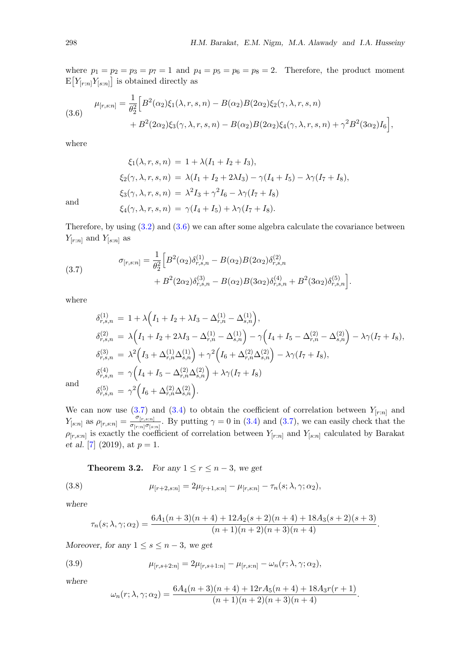where  $p_1 = p_2 = p_3 = p_7 = 1$  and  $p_4 = p_5 = p_6 = p_8 = 2$ . Therefore, the product moment  $E[Y_{[r:n]}Y_{[s:n]}]$  is obtained directly as

(3.6) 
$$
\mu_{[r,s:n]} = \frac{1}{\theta_2^2} \Big[ B^2(\alpha_2) \xi_1(\lambda, r, s, n) - B(\alpha_2) B(2\alpha_2) \xi_2(\gamma, \lambda, r, s, n) + B^2(2\alpha_2) \xi_3(\gamma, \lambda, r, s, n) - B(\alpha_2) B(2\alpha_2) \xi_4(\gamma, \lambda, r, s, n) + \gamma^2 B^2(3\alpha_2) I_6 \Big],
$$

where

<span id="page-7-1"></span> $\xi_2(\gamma, \lambda, r, s, n) = \lambda (I_1 + I_2 + 2\lambda I_3) - \gamma (I_4 + I_5) - \lambda \gamma (I_7 + I_8),$  $\xi_3(\gamma, \lambda, r, s, n) = \lambda^2 I_3 + \gamma^2 I_6 - \lambda \gamma (I_7 + I_8)$  $\xi_4(\gamma, \lambda, r, s, n) = \gamma (I_4 + I_5) + \lambda \gamma (I_7 + I_8).$ 

and

Therefore, by using [\(3.2\)](#page-4-0) and [\(3.6\)](#page-7-0) we can after some algebra calculate the covariance between  $Y_{[r:n]}$  and  $Y_{[s:n]}$  as

(3.7) 
$$
\sigma_{[r,s:n]} = \frac{1}{\theta_2^2} \Big[ B^2(\alpha_2) \delta_{r,s,n}^{(1)} - B(\alpha_2) B(2\alpha_2) \delta_{r,s,n}^{(2)} + B^2(2\alpha_2) \delta_{r,s,n}^{(3)} - B(\alpha_2) B(3\alpha_2) \delta_{r,s,n}^{(4)} + B^2(3\alpha_2) \delta_{r,s,n}^{(5)} \Big].
$$

<span id="page-7-0"></span> $\xi_1(\lambda, r, s, n) = 1 + \lambda (I_1 + I_2 + I_3),$ 

where

$$
\delta_{r,s,n}^{(1)} = 1 + \lambda \Big( I_1 + I_2 + \lambda I_3 - \Delta_{r,n}^{(1)} - \Delta_{s,n}^{(1)} \Big),
$$
  
\n
$$
\delta_{r,s,n}^{(2)} = \lambda \Big( I_1 + I_2 + 2\lambda I_3 - \Delta_{r,n}^{(1)} - \Delta_{s,n}^{(1)} \Big) - \gamma \Big( I_4 + I_5 - \Delta_{r,n}^{(2)} - \Delta_{s,n}^{(2)} \Big) - \lambda \gamma (I_7 + I_8),
$$
  
\n
$$
\delta_{r,s,n}^{(3)} = \lambda^2 \Big( I_3 + \Delta_{r,n}^{(1)} \Delta_{s,n}^{(1)} \Big) + \gamma^2 \Big( I_6 + \Delta_{r,n}^{(2)} \Delta_{s,n}^{(2)} \Big) - \lambda \gamma (I_7 + I_8),
$$
  
\n
$$
\delta_{r,s,n}^{(4)} = \gamma \Big( I_4 + I_5 - \Delta_{r,n}^{(2)} \Delta_{s,n}^{(2)} \Big) + \lambda \gamma (I_7 + I_8)
$$
  
\n
$$
\delta_{r,s,n}^{(5)} = \gamma^2 \Big( I_6 + \Delta_{r,n}^{(2)} \Delta_{s,n}^{(2)} \Big).
$$

and

We can now use [\(3.7\)](#page-7-1) and [\(3.4\)](#page-5-1) to obtain the coefficient of correlation between  $Y_{[r:n]}$  and  $Y_{[s:n]}$  as  $\rho_{[r,s:n]} = \frac{\sigma_{[r,s:n]}}{\sigma_{[r:n]}\sigma_{[s:n]}}$  $\frac{\sigma_{[r,s:n]}}{\sigma_{[r:n]}\sigma_{[s:n]}}$ . By putting  $\gamma=0$  in [\(3.4\)](#page-5-1) and [\(3.7\)](#page-7-1), we can easily check that the  $\rho_{[r,s:n]}$  is exactly the coefficient of correlation between  $Y_{[r:n]}$  and  $Y_{[s:n]}$  calculated by Barakat et al. [\[7\]](#page-14-8) (2019), at  $p=1$ .

<span id="page-7-2"></span>**Theorem 3.2.** For any  $1 \le r \le n-3$ , we get

(3.8) 
$$
\mu_{[r+2,s:n]} = 2\mu_{[r+1,s:n]} - \mu_{[r,s:n]} - \tau_n(s;\lambda,\gamma;\alpha_2),
$$

where

$$
\tau_n(s; \lambda, \gamma; \alpha_2) = \frac{6A_1(n+3)(n+4) + 12A_2(s+2)(n+4) + 18A_3(s+2)(s+3)}{(n+1)(n+2)(n+3)(n+4)}.
$$

Moreover, for any  $1 \leq s \leq n-3$ , we get

(3.9) 
$$
\mu_{[r,s+2:n]} = 2\mu_{[r,s+1:n]} - \mu_{[r,s:n]} - \omega_n(r;\lambda,\gamma;\alpha_2),
$$

where

<span id="page-7-3"></span>
$$
\omega_n(r; \lambda, \gamma; \alpha_2) = \frac{6A_4(n+3)(n+4) + 12rA_5(n+4) + 18A_3r(r+1)}{(n+1)(n+2)(n+3)(n+4)}.
$$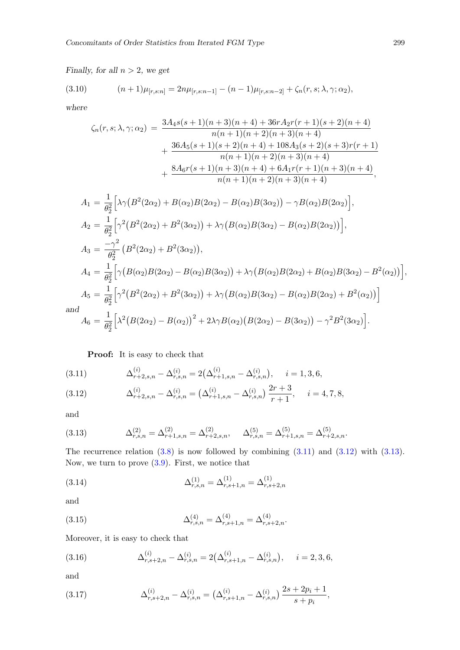Finally, for all  $n > 2$ , we get

(3.10) 
$$
(n+1)\mu_{[r,s:n]} = 2n\mu_{[r,s:n-1]} - (n-1)\mu_{[r,s:n-2]} + \zeta_n(r,s;\lambda,\gamma;\alpha_2),
$$

where

<span id="page-8-7"></span>
$$
\zeta_n(r,s;\lambda,\gamma;\alpha_2) = \frac{3A_4s(s+1)(n+3)(n+4) + 36rA_2r(r+1)(s+2)(n+4)}{n(n+1)(n+2)(n+3)(n+4)} + \frac{36A_5(s+1)(s+2)(n+4) + 108A_3(s+2)(s+3)r(r+1)}{n(n+1)(n+2)(n+3)(n+4)} + \frac{8A_6r(s+1)(n+3)(n+4) + 6A_1r(r+1)(n+3)(n+4)}{n(n+1)(n+2)(n+3)(n+4)},
$$

$$
A_1 = \frac{1}{\theta_2^2} \Big[ \lambda \gamma (B^2 (2\alpha_2) + B(\alpha_2) B(2\alpha_2) - B(\alpha_2) B(3\alpha_2) \Big) - \gamma B(\alpha_2) B(2\alpha_2) \Big],
$$
  
\n
$$
A_2 = \frac{1}{\theta_2^2} \Big[ \gamma^2 (B^2 (2\alpha_2) + B^2 (3\alpha_2)) + \lambda \gamma (B(\alpha_2) B(3\alpha_2) - B(\alpha_2) B(2\alpha_2)) \Big],
$$
  
\n
$$
A_3 = \frac{-\gamma^2}{\theta_2^2} (B^2 (2\alpha_2) + B^2 (3\alpha_2)),
$$
  
\n
$$
A_4 = \frac{1}{\theta_2^2} \Big[ \gamma (B(\alpha_2) B(2\alpha_2) - B(\alpha_2) B(3\alpha_2)) + \lambda \gamma (B(\alpha_2) B(2\alpha_2) + B(\alpha_2) B(3\alpha_2) - B^2(\alpha_2)) \Big],
$$
  
\n
$$
A_5 = \frac{1}{\theta_2^2} \Big[ \gamma^2 (B^2 (2\alpha_2) + B^2 (3\alpha_2)) + \lambda \gamma (B(\alpha_2) B(3\alpha_2) - B(\alpha_2) B(2\alpha_2) + B^2(\alpha_2)) \Big]
$$
  
\n
$$
A_6 = \frac{1}{\theta_2^2} \Big[ \lambda^2 (B(2\alpha_2) - B(\alpha_2))^2 + 2\lambda \gamma B(\alpha_2) (B(2\alpha_2) - B(3\alpha_2)) - \gamma^2 B^2 (3\alpha_2) \Big].
$$

an

# Proof: It is easy to check that

<span id="page-8-0"></span>(3.11) 
$$
\Delta_{r+2,s,n}^{(i)} - \Delta_{r,s,n}^{(i)} = 2(\Delta_{r+1,s,n}^{(i)} - \Delta_{r,s,n}^{(i)}), \quad i = 1, 3, 6,
$$

<span id="page-8-1"></span>(3.12) 
$$
\Delta_{r+2,s,n}^{(i)} - \Delta_{r,s,n}^{(i)} = \left(\Delta_{r+1,s,n}^{(i)} - \Delta_{r,s,n}^{(i)}\right) \frac{2r+3}{r+1}, \quad i = 4, 7, 8,
$$

<span id="page-8-2"></span>and

(3.13) 
$$
\Delta_{r,s,n}^{(2)} = \Delta_{r+1,s,n}^{(2)} = \Delta_{r+2,s,n}^{(2)}, \quad \Delta_{r,s,n}^{(5)} = \Delta_{r+1,s,n}^{(5)} = \Delta_{r+2,s,n}^{(5)}.
$$

<span id="page-8-3"></span>The recurrence relation  $(3.8)$  is now followed by combining  $(3.11)$  and  $(3.12)$  with  $(3.13)$ . Now, we turn to prove [\(3.9\)](#page-7-3). First, we notice that

(3.14) 
$$
\Delta_{r,s,n}^{(1)} = \Delta_{r,s+1,n}^{(1)} = \Delta_{r,s+2,n}^{(1)}
$$

<span id="page-8-4"></span>and

<span id="page-8-5"></span>(3.15) 
$$
\Delta_{r,s,n}^{(4)} = \Delta_{r,s+1,n}^{(4)} = \Delta_{r,s+2,n}^{(4)}.
$$

Moreover, it is easy to check that

(3.16) 
$$
\Delta_{r,s+2,n}^{(i)} - \Delta_{r,s,n}^{(i)} = 2(\Delta_{r,s+1,n}^{(i)} - \Delta_{r,s,n}^{(i)}), \quad i = 2,3,6,
$$

<span id="page-8-6"></span>and

(3.17) 
$$
\Delta_{r,s+2,n}^{(i)} - \Delta_{r,s,n}^{(i)} = \left(\Delta_{r,s+1,n}^{(i)} - \Delta_{r,s,n}^{(i)}\right) \frac{2s+2p_i+1}{s+p_i},
$$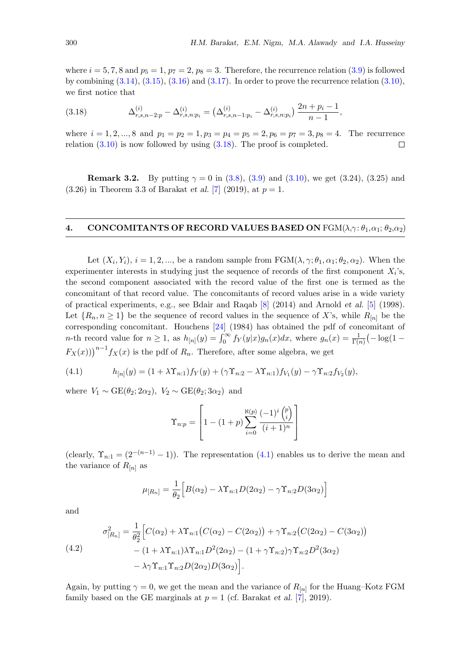<span id="page-9-0"></span>where  $i = 5, 7, 8$  and  $p_5 = 1, p_7 = 2, p_8 = 3$ . Therefore, the recurrence relation [\(3.9\)](#page-7-3) is followed by combining  $(3.14)$ ,  $(3.15)$ ,  $(3.16)$  and  $(3.17)$ . In order to prove the recurrence relation  $(3.10)$ , we first notice that

(3.18) 
$$
\Delta_{r,s,n-2:p}^{(i)} - \Delta_{r,s,n:p_i}^{(i)} = \left(\Delta_{r,s,n-1:p_i}^{(i)} - \Delta_{r,s,n:p_i}^{(i)}\right) \frac{2n+p_i-1}{n-1},
$$

where  $i = 1, 2, ..., 8$  and  $p_1 = p_2 = 1, p_3 = p_4 = p_5 = 2, p_6 = p_7 = 3, p_8 = 4$ . The recurrence relation  $(3.10)$  is now followed by using  $(3.18)$ . The proof is completed.  $\Box$ 

**Remark 3.2.** By putting  $\gamma = 0$  in [\(3.8\)](#page-7-2), [\(3.9\)](#page-7-3) and [\(3.10\)](#page-8-7), we get (3.24), (3.25) and  $(3.26)$  in Theorem 3.3 of Barakat et al. [\[7\]](#page-14-8) (2019), at  $p = 1$ .

### 4. CONCOMITANTS OF RECORD VALUES BASED ON  $\text{FGM}(\lambda, \gamma; \theta_1, \alpha_1; \theta_2, \alpha_2)$

Let  $(X_i, Y_i)$ ,  $i = 1, 2, ...,$  be a random sample from  $\text{FGM}(\lambda, \gamma; \theta_1, \alpha_1; \theta_2, \alpha_2)$ . When the experimenter interests in studying just the sequence of records of the first component  $X_i$ 's, the second component associated with the record value of the first one is termed as the concomitant of that record value. The concomitants of record values arise in a wide variety of practical experiments, e.g., see Bdair and Raqab [\[8\]](#page-14-10) (2014) and Arnold et al. [\[5\]](#page-14-0) (1998). Let  $\{R_n, n \geq 1\}$  be the sequence of record values in the sequence of X's, while  $R_{[n]}$  be the corresponding concomitant. Houchens [\[24\]](#page-15-10) (1984) has obtained the pdf of concomitant of *n*-th record value for  $n \geq 1$ , as  $h_{[n]}(y) = \int_0^\infty f_Y(y|x)g_n(x)dx$ , where  $g_n(x) = \frac{1}{\Gamma(n)}(-\log(1-\frac{1}{\Gamma(n)}))$  $F_X(x)$ )<sup>n−1</sup> $f_X(x)$  is the pdf of  $R_n$ . Therefore, after some algebra, we get

(4.1) 
$$
h_{[n]}(y) = (1 + \lambda \Upsilon_{n:1}) f_Y(y) + (\gamma \Upsilon_{n:2} - \lambda \Upsilon_{n:1}) f_{V_1}(y) - \gamma \Upsilon_{n:2} f_{V_2}(y),
$$

where  $V_1 \sim \text{GE}(\theta_2; 2\alpha_2)$ ,  $V_2 \sim \text{GE}(\theta_2; 3\alpha_2)$  and

<span id="page-9-1"></span>
$$
\Upsilon_{n:p} = \left[1 - (1+p)\sum_{i=0}^{\aleph(p)} \frac{(-1)^i \binom{p}{i}}{(i+1)^n}\right]
$$

(clearly,  $\Upsilon_{n:1} = (2^{-(n-1)} - 1)$ ). The representation [\(4.1\)](#page-9-1) enables us to derive the mean and the variance of  $R_{[n]}$  as

$$
\mu_{[R_n]} = \frac{1}{\theta_2} \Big[ B(\alpha_2) - \lambda \Upsilon_{n:1} D(2\alpha_2) - \gamma \Upsilon_{n:2} D(3\alpha_2) \Big]
$$

<span id="page-9-2"></span>and

(4.2)  
\n
$$
\sigma_{[R_n]}^2 = \frac{1}{\theta_2^2} \Big[ C(\alpha_2) + \lambda \Upsilon_{n:1} (C(\alpha_2) - C(2\alpha_2)) + \gamma \Upsilon_{n:2} (C(2\alpha_2) - C(3\alpha_2)) - (1 + \lambda \Upsilon_{n:1}) \lambda \Upsilon_{n:1} D^2(2\alpha_2) - (1 + \gamma \Upsilon_{n:2}) \gamma \Upsilon_{n:2} D^2(3\alpha_2) - \lambda \gamma \Upsilon_{n:1} \Upsilon_{n:2} D(2\alpha_2) D(3\alpha_2) \Big].
$$

Again, by putting  $\gamma = 0$ , we get the mean and the variance of  $R_{[n]}$  for the Huang–Kotz FGM family based on the GE marginals at  $p = 1$  (cf. Barakat et al. [\[7\]](#page-14-8), 2019).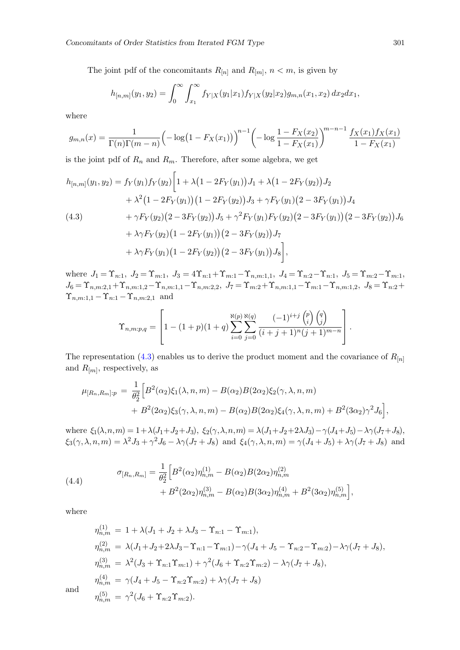The joint pdf of the concomitants  $R_{[n]}$  and  $R_{[m]}$ ,  $n < m$ , is given by

<span id="page-10-0"></span>
$$
h_{[n,m]}(y_1, y_2) = \int_0^\infty \int_{x_1}^\infty f_{Y|X}(y_1|x_1) f_{Y|X}(y_2|x_2) g_{m,n}(x_1, x_2) dx_2 dx_1,
$$

where

$$
g_{m,n}(x) = \frac{1}{\Gamma(n)\Gamma(m-n)} \left( -\log(1 - F_X(x_1)) \right)^{n-1} \left( -\log \frac{1 - F_X(x_2)}{1 - F_X(x_1)} \right)^{m-n-1} \frac{f_X(x_1) f_X(x_1)}{1 - F_X(x_1)}
$$

is the joint pdf of  $R_n$  and  $R_m$ . Therefore, after some algebra, we get

$$
h_{[n,m]}(y_1, y_2) = f_Y(y_1) f_Y(y_2) \Bigg[ 1 + \lambda \big( 1 - 2F_Y(y_1) \big) J_1 + \lambda \big( 1 - 2F_Y(y_2) \big) J_2
$$
  
+  $\lambda^2 \big( 1 - 2F_Y(y_1) \big) \big( 1 - 2F_Y(y_2) \big) J_3 + \gamma F_Y(y_1) \big( 2 - 3F_Y(y_1) \big) J_4$   
(4.3)  
+  $\gamma F_Y(y_2) \big( 2 - 3F_Y(y_2) \big) J_5 + \gamma^2 F_Y(y_1) F_Y(y_2) \big( 2 - 3F_Y(y_1) \big) \big( 2 - 3F_Y(y_2) \big) J_6$   
+  $\lambda \gamma F_Y(y_2) \big( 1 - 2F_Y(y_1) \big) \big( 2 - 3F_Y(y_2) \big) J_7$   
+  $\lambda \gamma F_Y(y_1) \big( 1 - 2F_Y(y_2) \big) \big( 2 - 3F_Y(y_1) \big) J_8 \Bigg],$ 

where  $J_1 = \Upsilon_{n:1}$ ,  $J_2 = \Upsilon_{m:1}$ ,  $J_3 = 4\Upsilon_{n:1} + \Upsilon_{m:1} - \Upsilon_{n,m:1,1}$ ,  $J_4 = \Upsilon_{n:2} - \Upsilon_{n:1}$ ,  $J_5 = \Upsilon_{m:2} - \Upsilon_{m:1}$ ,  $J_6 = \Upsilon_{n,m:2,1}+\Upsilon_{n,m:1,2}-\Upsilon_{n,m:1,1}-\Upsilon_{n,m:2,2}, \ J_7 = \Upsilon_{m:2}+\Upsilon_{n,m:1,1}-\Upsilon_{m:1}-\Upsilon_{n,m:1,2}, \ J_8 = \Upsilon_{n:2}+ \Upsilon_{n,m:3,1}+\Upsilon_{n,m:4,2}$  $\Upsilon_{n,m:1,1} - \Upsilon_{n:1} - \Upsilon_{n,m:2,1}$  and

$$
\Upsilon_{n,m:p,q} = \left[1 - (1+p)(1+q) \sum_{i=0}^{\aleph(p)} \sum_{j=0}^{\aleph(q)} \frac{(-1)^{i+j} {p \choose i} {q \choose j}}{(i+j+1)^n (j+1)^{m-n}}\right].
$$

The representation [\(4.3\)](#page-10-0) enables us to derive the product moment and the covariance of  $R_{[n]}$ and  $R_{[m]}$ , respectively, as

$$
\mu_{[R_n,R_m]:p} = \frac{1}{\theta_2^2} \Big[ B^2(\alpha_2) \xi_1(\lambda,n,m) - B(\alpha_2) B(2\alpha_2) \xi_2(\gamma,\lambda,n,m) + B^2(2\alpha_2) \xi_3(\gamma,\lambda,n,m) - B(\alpha_2) B(2\alpha_2) \xi_4(\gamma,\lambda,n,m) + B^2(3\alpha_2) \gamma^2 J_6 \Big],
$$

<span id="page-10-1"></span>where  $\xi_1(\lambda, n, m) = 1 + \lambda (J_1 + J_2 + J_3), \xi_2(\gamma, \lambda, n, m) = \lambda (J_1 + J_2 + 2\lambda J_3) - \gamma (J_4 + J_5) - \lambda \gamma (J_7 + J_8),$  $\xi_3(\gamma, \lambda, n, m) = \lambda^2 J_3 + \gamma^2 J_6 - \lambda \gamma (J_7 + J_8)$  and  $\xi_4(\gamma, \lambda, n, m) = \gamma (J_4 + J_5) + \lambda \gamma (J_7 + J_8)$  and

(4.4) 
$$
\sigma_{[R_n,R_m]} = \frac{1}{\theta_2^2} \Big[ B^2(\alpha_2) \eta_{n,m}^{(1)} - B(\alpha_2) B(2\alpha_2) \eta_{n,m}^{(2)} + B^2(2\alpha_2) \eta_{n,m}^{(3)} - B(\alpha_2) B(3\alpha_2) \eta_{n,m}^{(4)} + B^2(3\alpha_2) \eta_{n,m}^{(5)} \Big],
$$

where

$$
\eta_{n,m}^{(1)} = 1 + \lambda (J_1 + J_2 + \lambda J_3 - \Upsilon_{n:1} - \Upsilon_{m:1}),
$$
  
\n
$$
\eta_{n,m}^{(2)} = \lambda (J_1 + J_2 + 2\lambda J_3 - \Upsilon_{n:1} - \Upsilon_{m:1}) - \gamma (J_4 + J_5 - \Upsilon_{n:2} - \Upsilon_{m:2}) - \lambda \gamma (J_7 + J_8),
$$
  
\n
$$
\eta_{n,m}^{(3)} = \lambda^2 (J_3 + \Upsilon_{n:1} \Upsilon_{m:1}) + \gamma^2 (J_6 + \Upsilon_{n:2} \Upsilon_{m:2}) - \lambda \gamma (J_7 + J_8),
$$
  
\n
$$
\eta_{n,m}^{(4)} = \gamma (J_4 + J_5 - \Upsilon_{n:2} \Upsilon_{m:2}) + \lambda \gamma (J_7 + J_8)
$$
  
\n
$$
\eta_{n,m}^{(5)} = \gamma^2 (J_6 + \Upsilon_{n:2} \Upsilon_{m:2}).
$$

and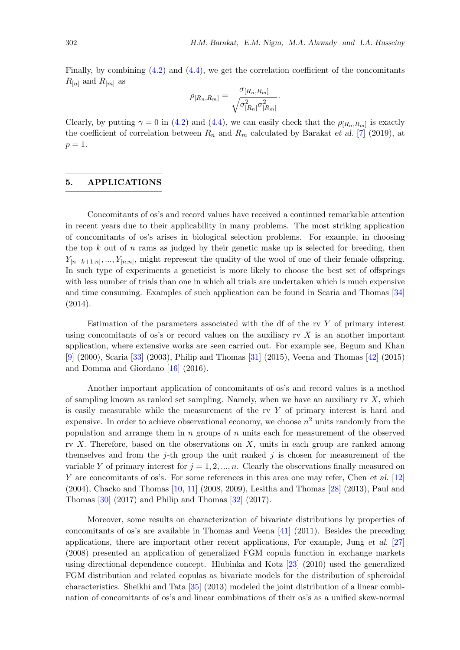Finally, by combining  $(4.2)$  and  $(4.4)$ , we get the correlation coefficient of the concomitants  $R_{[n]}$  and  $R_{[m]}$  as

$$
\rho_{[R_n,R_m]} = \frac{\sigma_{[R_n,R_m]}}{\sqrt{\sigma_{[R_n]}^2 \sigma_{[R_m]}^2}}.
$$

Clearly, by putting  $\gamma = 0$  in [\(4.2\)](#page-9-2) and [\(4.4\)](#page-10-1), we can easily check that the  $\rho_{[R_n,R_m]}$  is exactly the coefficient of correlation between  $R_n$  and  $R_m$  calculated by Barakat et al. [\[7\]](#page-14-8) (2019), at  $p=1$ .

## 5. APPLICATIONS

Concomitants of os's and record values have received a continued remarkable attention in recent years due to their applicability in many problems. The most striking application of concomitants of os's arises in biological selection problems. For example, in choosing the top  $k$  out of  $n$  rams as judged by their genetic make up is selected for breeding, then  $Y_{[n-k+1:n]},...,Y_{[n:n]},$  might represent the quality of the wool of one of their female offspring. In such type of experiments a geneticist is more likely to choose the best set of offsprings with less number of trials than one in which all trials are undertaken which is much expensive and time consuming. Examples of such application can be found in Scaria and Thomas [\[34\]](#page-15-11) (2014).

Estimation of the parameters associated with the df of the rv  $Y$  of primary interest using concomitants of os's or record values on the auxiliary  $\alpha Y$  is an another important application, where extensive works are seen carried out. For example see, Begum and Khan [\[9\]](#page-14-11) (2000), Scaria [\[33\]](#page-15-12) (2003), Philip and Thomas [\[31\]](#page-15-13) (2015), Veena and Thomas [\[42\]](#page-16-3) (2015) and Domma and Giordano [\[16\]](#page-14-12) (2016).

Another important application of concomitants of os's and record values is a method of sampling known as ranked set sampling. Namely, when we have an auxiliary rv  $X$ , which is easily measurable while the measurement of the rv  $Y$  of primary interest is hard and expensive. In order to achieve observational economy, we choose  $n^2$  units randomly from the population and arrange them in n groups of n units each for measurement of the observed rv  $X$ . Therefore, based on the observations on  $X$ , units in each group are ranked among themselves and from the j-th group the unit ranked j is chosen for measurement of the variable Y of primary interest for  $j = 1, 2, ..., n$ . Clearly the observations finally measured on Y are concomitants of os's. For some references in this area one may refer, Chen et al. [\[12\]](#page-14-13) (2004), Chacko and Thomas [\[10,](#page-14-14) [11\]](#page-14-15) (2008, 2009), Lesitha and Thomas [\[28\]](#page-15-14) (2013), Paul and Thomas [\[30\]](#page-15-15) (2017) and Philip and Thomas [\[32\]](#page-15-16) (2017).

Moreover, some results on characterization of bivariate distributions by properties of concomitants of os's are available in Thomas and Veena [\[41\]](#page-16-4) (2011). Besides the preceding applications, there are important other recent applications, For example, Jung et al. [\[27\]](#page-15-17) (2008) presented an application of generalized FGM copula function in exchange markets using directional dependence concept. Hlubinka and Kotz [\[23\]](#page-15-18) (2010) used the generalized FGM distribution and related copulas as bivariate models for the distribution of spheroidal characteristics. Sheikhi and Tata [\[35\]](#page-15-19) (2013) modeled the joint distribution of a linear combination of concomitants of os's and linear combinations of their os's as a unified skew-normal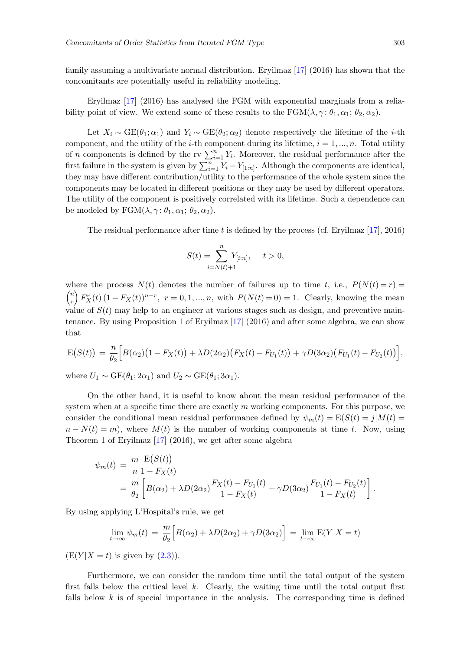family assuming a multivariate normal distribution. Eryilmaz [\[17\]](#page-15-20) (2016) has shown that the concomitants are potentially useful in reliability modeling.

Eryilmaz [\[17\]](#page-15-20) (2016) has analysed the FGM with exponential marginals from a reliability point of view. We extend some of these results to the  $\text{FGM}(\lambda, \gamma : \theta_1, \alpha_1; \theta_2, \alpha_2)$ .

Let  $X_i \sim \text{GE}(\theta_1; \alpha_1)$  and  $Y_i \sim \text{GE}(\theta_2; \alpha_2)$  denote respectively the lifetime of the *i*-th component, and the utility of the *i*-th component during its lifetime,  $i = 1, ..., n$ . Total utility of n components is defined by the rv  $\sum_{i=1}^{n} Y_i$ . Moreover, the residual performance after the first failure in the system is given by  $\sum_{i=1}^{n} Y_i - Y_{[1:n]}$ . Although the components are identical, they may have different contribution/utility to the performance of the whole system since the components may be located in different positions or they may be used by different operators. The utility of the component is positively correlated with its lifetime. Such a dependence can be modeled by  $FGM(\lambda, \gamma: \theta_1, \alpha_1; \theta_2, \alpha_2)$ .

The residual performance after time t is defined by the process (cf. Eryilmaz  $[17]$ , 2016)

$$
S(t) = \sum_{i=N(t)+1}^{n} Y_{[i:n]}, \quad t > 0,
$$

where the process  $N(t)$  denotes the number of failures up to time t, i.e.,  $P(N(t) = r)$  $\left( n\right)$ r  $\int F_X^r(t) (1 - F_X(t))^{n-r}$ ,  $r = 0, 1, ..., n$ , with  $P(N(t) = 0) = 1$ . Clearly, knowing the mean value of  $S(t)$  may help to an engineer at various stages such as design, and preventive maintenance. By using Proposition 1 of Eryilmaz [\[17\]](#page-15-20) (2016) and after some algebra, we can show that

$$
E(S(t)) = \frac{n}{\theta_2} \Big[ B(\alpha_2) \big( 1 - F_X(t) \big) + \lambda D(2\alpha_2) \big( F_X(t) - F_{U_1}(t) \big) + \gamma D(3\alpha_2) \big( F_{U_1}(t) - F_{U_2}(t) \big) \Big],
$$

where  $U_1 \sim \text{GE}(\theta_1; 2\alpha_1)$  and  $U_2 \sim \text{GE}(\theta_1; 3\alpha_1)$ .

On the other hand, it is useful to know about the mean residual performance of the system when at a specific time there are exactly  $m$  working components. For this purpose, we consider the conditional mean residual performance defined by  $\psi_m(t) = E(S(t)) = j|M(t)|$  $n - N(t) = m$ , where  $M(t)$  is the number of working components at time t. Now, using Theorem 1 of Eryilmaz [\[17\]](#page-15-20) (2016), we get after some algebra

$$
\psi_m(t) = \frac{m}{n} \frac{E(S(t))}{1 - F_X(t)}
$$
  
= 
$$
\frac{m}{\theta_2} \left[ B(\alpha_2) + \lambda D(2\alpha_2) \frac{F_X(t) - F_{U_1}(t)}{1 - F_X(t)} + \gamma D(3\alpha_2) \frac{F_{U_1}(t) - F_{U_2}(t)}{1 - F_X(t)} \right].
$$

By using applying L'Hospital's rule, we get

$$
\lim_{t \to \infty} \psi_m(t) = \frac{m}{\theta_2} \Big[ B(\alpha_2) + \lambda D(2\alpha_2) + \gamma D(3\alpha_2) \Big] = \lim_{t \to \infty} E(Y|X = t)
$$

 $(E(Y|X = t)$  is given by  $(2.3)$ ).

Furthermore, we can consider the random time until the total output of the system first falls below the critical level  $k$ . Clearly, the waiting time until the total output first falls below  $k$  is of special importance in the analysis. The corresponding time is defined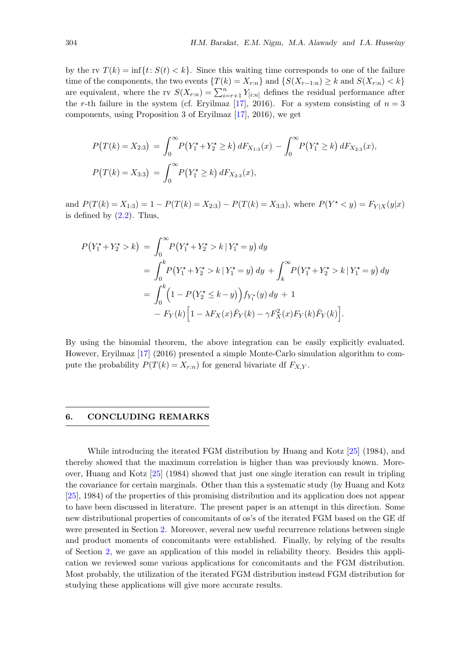by the rv  $T(k) = \inf\{t: S(t) < k\}$ . Since this waiting time corresponds to one of the failure time of the components, the two events  $\{T(k) = X_{r:n}\}\$  and  $\{S(X_{r-1:n}) \geq k \text{ and } S(X_{r:n}) < k\}$ are equivalent, where the rv  $S(X_{r:n}) = \sum_{i=r+1}^{n} Y_{[i:n]}$  defines the residual performance after the r-th failure in the system (cf. Eryilmaz [\[17\]](#page-15-20), 2016). For a system consisting of  $n = 3$ components, using Proposition 3 of Eryilmaz [\[17\]](#page-15-20), 2016), we get

$$
P(T(k) = X_{2:3}) = \int_0^\infty P(Y_1^* + Y_2^* \ge k) dF_{X_{1:3}}(x) - \int_0^\infty P(Y_1^* \ge k) dF_{X_{2:3}}(x),
$$
  

$$
P(T(k) = X_{3:3}) = \int_0^\infty P(Y_1^* \ge k) dF_{X_{2:3}}(x),
$$

and  $P(T(k) = X_{1:3}) = 1 - P(T(k) = X_{2:3}) - P(T(k) = X_{3:3})$ , where  $P(Y^* < y) = F_{Y|X}(y|x)$ is defined by  $(2.2)$ . Thus,

$$
P(Y_1^* + Y_2^* > k) = \int_0^\infty P(Y_1^* + Y_2^* > k | Y_1^* = y) dy
$$
  
= 
$$
\int_0^k P(Y_1^* + Y_2^* > k | Y_1^* = y) dy + \int_k^\infty P(Y_1^* + Y_2^* > k | Y_1^* = y) dy
$$
  
= 
$$
\int_0^k \left(1 - P(Y_2^* \le k - y)\right) f_{Y_1^*}(y) dy + 1
$$
  
- 
$$
F_Y(k) \left[1 - \lambda F_X(x) \overline{F}_Y(k) - \gamma F_X^2(x) F_Y(k) \overline{F}_Y(k)\right].
$$

By using the binomial theorem, the above integration can be easily explicitly evaluated. However, Eryilmaz [\[17\]](#page-15-20) (2016) presented a simple Monte-Carlo simulation algorithm to compute the probability  $P(T(k) = X_{r:n})$  for general bivariate df  $F_{X,Y}$ .

### 6. CONCLUDING REMARKS

While introducing the iterated FGM distribution by Huang and Kotz [\[25\]](#page-15-4) (1984), and thereby showed that the maximum correlation is higher than was previously known. Moreover, Huang and Kotz [\[25\]](#page-15-4) (1984) showed that just one single iteration can result in tripling the covariance for certain marginals. Other than this a systematic study (by Huang and Kotz [\[25\]](#page-15-4), 1984) of the properties of this promising distribution and its application does not appear to have been discussed in literature. The present paper is an attempt in this direction. Some new distributional properties of concomitants of os's of the iterated FGM based on the GE df were presented in Section [2.](#page-3-2) Moreover, several new useful recurrence relations between single and product moments of concomitants were established. Finally, by relying of the results of Section [2,](#page-3-2) we gave an application of this model in reliability theory. Besides this application we reviewed some various applications for concomitants and the FGM distribution. Most probably, the utilization of the iterated FGM distribution instead FGM distribution for studying these applications will give more accurate results.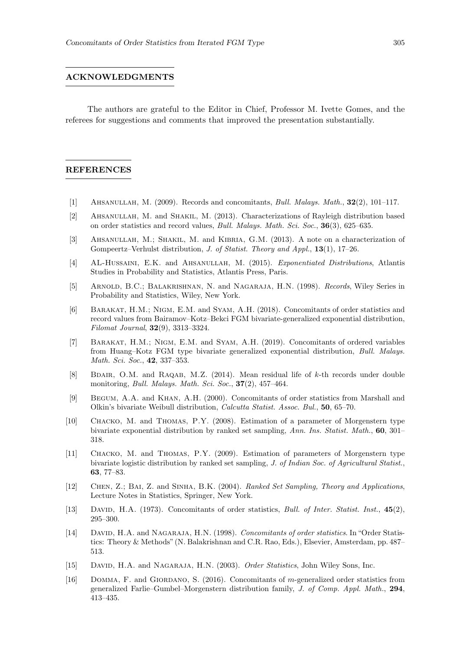#### ACKNOWLEDGMENTS

The authors are grateful to the Editor in Chief, Professor M. Ivette Gomes, and the referees for suggestions and comments that improved the presentation substantially.

### REFERENCES

- <span id="page-14-4"></span>[1] Ahsanullah, M. (2009). Records and concomitants, Bull. Malays. Math., 32(2), 101–117.
- <span id="page-14-5"></span>[2] Ahsanullah, M. and Shakil, M. (2013). Characterizations of Rayleigh distribution based on order statistics and record values, Bull. Malays. Math. Sci. Soc., 36(3), 625–635.
- <span id="page-14-6"></span>[3] Ahsanullah, M.; Shakil, M. and Kibria, G.M. (2013). A note on a characterization of Gompeertz–Verhulst distribution, *J. of Statist. Theory and Appl.*, **13**(1), 17–26.
- <span id="page-14-7"></span>[4] AL-HUSSAINI, E.K. and AHSANULLAH, M. (2015). Exponentiated Distributions, Atlantis Studies in Probability and Statistics, Atlantis Press, Paris.
- <span id="page-14-0"></span>[5] ARNOLD, B.C.; BALAKRISHNAN, N. and NAGARAJA, H.N. (1998). *Records*, Wiley Series in Probability and Statistics, Wiley, New York.
- <span id="page-14-9"></span>[6] BARAKAT, H.M.; NIGM, E.M. and SYAM, A.H. (2018). Concomitants of order statistics and record values from Bairamov–Kotz–Bekci FGM bivariate-generalized exponential distribution, Filomat Journal, 32(9), 3313–3324.
- <span id="page-14-8"></span>[7] BARAKAT, H.M.; NIGM, E.M. and SYAM, A.H. (2019). Concomitants of ordered variables from Huang–Kotz FGM type bivariate generalized exponential distribution, Bull. Malays. Math. Sci. Soc., 42, 337–353.
- <span id="page-14-10"></span>[8] BDAIR, O.M. and RAQAB, M.Z. (2014). Mean residual life of k-th records under double monitoring, *Bull. Malays. Math. Sci. Soc.*, **37**(2), 457-464.
- <span id="page-14-11"></span>[9] Begum, A.A. and Khan, A.H. (2000). Concomitants of order statistics from Marshall and Olkin's bivariate Weibull distribution, Calcutta Statist. Assoc. Bul., 50, 65–70.
- <span id="page-14-14"></span>[10] Chacko, M. and Thomas, P.Y. (2008). Estimation of a parameter of Morgenstern type bivariate exponential distribution by ranked set sampling, Ann. Ins. Statist. Math., 60, 301– 318.
- <span id="page-14-15"></span>[11] Chacko, M. and Thomas, P.Y. (2009). Estimation of parameters of Morgenstern type bivariate logistic distribution by ranked set sampling, J. of Indian Soc. of Agricultural Statist., 63, 77–83.
- <span id="page-14-13"></span>[12] Chen, Z.; Bai, Z. and Sinha, B.K. (2004). Ranked Set Sampling, Theory and Applications, Lecture Notes in Statistics, Springer, New York.
- <span id="page-14-1"></span>[13] DAVID, H.A. (1973). Concomitants of order statistics, Bull. of Inter. Statist. Inst., 45(2), 295–300.
- <span id="page-14-2"></span>[14] DAVID, H.A. and NAGARAJA, H.N. (1998). Concomitants of order statistics. In "Order Statistics: Theory & Methods" (N. Balakrishnan and C.R. Rao, Eds.), Elsevier, Amsterdam, pp. 487– 513.
- <span id="page-14-3"></span>[15] DAVID, H.A. and NAGARAJA, H.N. (2003). Order Statistics, John Wiley Sons, Inc.
- <span id="page-14-12"></span>[16] Domma, F. and Giordano, S. (2016). Concomitants of m-generalized order statistics from generalized Farlie–Gumbel–Morgenstern distribution family, J. of Comp. Appl. Math., 294, 413–435.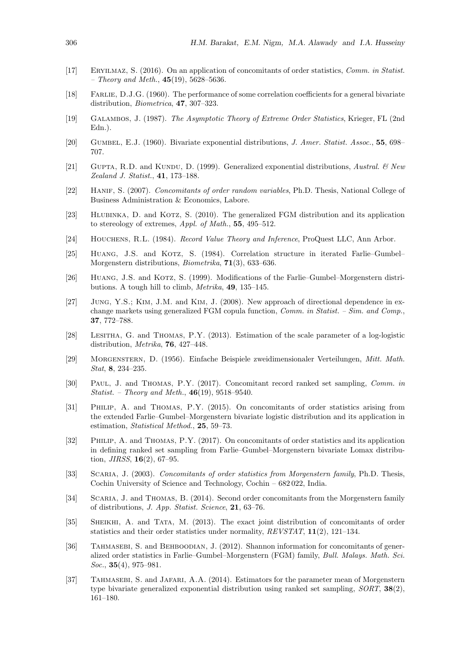- <span id="page-15-20"></span>[17] Eryilmaz, S. (2016). On an application of concomitants of order statistics, Comm. in Statist. – Theory and Meth.,  $45(19)$ ,  $5628-5636$ .
- <span id="page-15-3"></span>[18] Farlie, D.J.G. (1960). The performance of some correlation coefficients for a general bivariate distribution, Biometrica, 47, 307–323.
- <span id="page-15-9"></span>[19] Galambos, J. (1987). The Asymptotic Theory of Extreme Order Statistics, Krieger, FL (2nd Edn.).
- <span id="page-15-2"></span>[20] GUMBEL, E.J. (1960). Bivariate exponential distributions, J. Amer. Statist. Assoc., 55, 698– 707.
- <span id="page-15-6"></span>[21] GUPTA, R.D. and KUNDU, D. (1999). Generalized exponential distributions, Austral.  $\&$  New Zealand J. Statist., 41, 173–188.
- <span id="page-15-0"></span>[22] HANIF, S. (2007). Concomitants of order random variables, Ph.D. Thesis, National College of Business Administration & Economics, Labore.
- <span id="page-15-18"></span>[23] HLUBINKA, D. and KOTZ, S. (2010). The generalized FGM distribution and its application to stereology of extremes, Appl. of Math., 55, 495–512.
- <span id="page-15-10"></span>[24] Houchens, R.L. (1984). Record Value Theory and Inference, ProQuest LLC, Ann Arbor.
- <span id="page-15-4"></span>[25] HUANG, J.S. and KOTZ, S. (1984). Correlation structure in iterated Farlie–Gumbel– Morgenstern distributions, Biometrika, 71(3), 633–636.
- <span id="page-15-5"></span>[26] HUANG, J.S. and KOTZ, S. (1999). Modifications of the Farlie–Gumbel–Morgenstern distributions. A tough hill to climb, Metrika, 49, 135–145.
- <span id="page-15-17"></span>[27] Jung, Y.S.; Kim, J.M. and Kim, J. (2008). New approach of directional dependence in exchange markets using generalized FGM copula function, *Comm. in Statist. – Sim. and Comp.*, 37, 772–788.
- <span id="page-15-14"></span>[28] Lesitha, G. and Thomas, P.Y. (2013). Estimation of the scale parameter of a log-logistic distribution, Metrika, 76, 427–448.
- <span id="page-15-1"></span>[29] Morgenstern, D. (1956). Einfache Beispiele zweidimensionaler Verteilungen, Mitt. Math. Stat, 8, 234–235.
- <span id="page-15-15"></span>[30] Paul, J. and Thomas, P.Y. (2017). Concomitant record ranked set sampling, Comm. in *Statist.* – *Theory and Meth.*,  $46(19)$ ,  $9518-9540$ .
- <span id="page-15-13"></span>[31] Philip, A. and Thomas, P.Y. (2015). On concomitants of order statistics arising from the extended Farlie–Gumbel–Morgenstern bivariate logistic distribution and its application in estimation, Statistical Method., 25, 59–73.
- <span id="page-15-16"></span>[32] Philip, A. and Thomas, P.Y. (2017). On concomitants of order statistics and its application in defining ranked set sampling from Farlie–Gumbel–Morgenstern bivariate Lomax distribution, *JIRSS*, **16**(2), 67–95.
- <span id="page-15-12"></span>[33] SCARIA, J. (2003). Concomitants of order statistics from Morgenstern family, Ph.D. Thesis, Cochin University of Science and Technology, Cochin – 682 022, India.
- <span id="page-15-11"></span>[34] Scaria, J. and Thomas, B. (2014). Second order concomitants from the Morgenstern family of distributions, J. App. Statist. Science, 21, 63–76.
- <span id="page-15-19"></span>[35] Sheikhi, A. and Tata, M. (2013). The exact joint distribution of concomitants of order statistics and their order statistics under normality, REVSTAT, 11(2), 121–134.
- <span id="page-15-7"></span>[36] TAHMASEBI, S. and BEHBOODIAN, J. (2012). Shannon information for concomitants of generalized order statistics in Farlie–Gumbel–Morgenstern (FGM) family, Bull. Malays. Math. Sci. Soc.,  $35(4)$ ,  $975-981$ .
- <span id="page-15-8"></span>[37] Tahmasebi, S. and Jafari, A.A. (2014). Estimators for the parameter mean of Morgenstern type bivariate generalized exponential distribution using ranked set sampling, SORT, 38(2), 161–180.